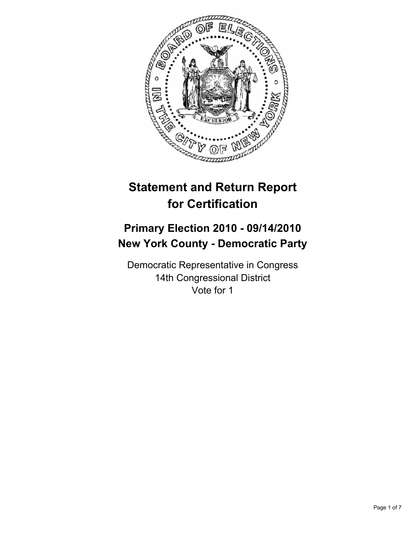

# **Statement and Return Report for Certification**

# **Primary Election 2010 - 09/14/2010 New York County - Democratic Party**

Democratic Representative in Congress 14th Congressional District Vote for 1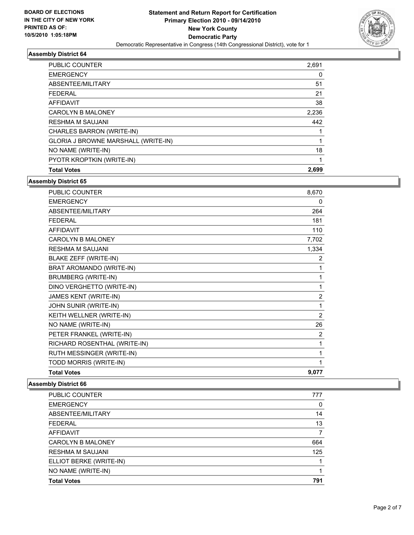

| <b>PUBLIC COUNTER</b>               | 2,691 |
|-------------------------------------|-------|
| <b>EMERGENCY</b>                    | 0     |
| ABSENTEE/MILITARY                   | 51    |
| <b>FEDERAL</b>                      | 21    |
| <b>AFFIDAVIT</b>                    | 38    |
| <b>CAROLYN B MALONEY</b>            | 2,236 |
| <b>RESHMA M SAUJANI</b>             | 442   |
| CHARLES BARRON (WRITE-IN)           |       |
| GLORIA J BROWNE MARSHALL (WRITE-IN) |       |
| NO NAME (WRITE-IN)                  | 18    |
| PYOTR KROPTKIN (WRITE-IN)           |       |
| <b>Total Votes</b>                  | 2.699 |

**Assembly District 65**

| <b>PUBLIC COUNTER</b>        | 8,670          |
|------------------------------|----------------|
| <b>EMERGENCY</b>             | 0              |
| ABSENTEE/MILITARY            | 264            |
| <b>FEDERAL</b>               | 181            |
| <b>AFFIDAVIT</b>             | 110            |
| <b>CAROLYN B MALONEY</b>     | 7,702          |
| <b>RESHMA M SAUJANI</b>      | 1,334          |
| BLAKE ZEFF (WRITE-IN)        | 2              |
| BRAT AROMANDO (WRITE-IN)     | 1              |
| <b>BRUMBERG (WRITE-IN)</b>   | 1              |
| DINO VERGHETTO (WRITE-IN)    | 1              |
| JAMES KENT (WRITE-IN)        | $\overline{2}$ |
| JOHN SUNIR (WRITE-IN)        | 1              |
| KEITH WELLNER (WRITE-IN)     | $\overline{2}$ |
| NO NAME (WRITE-IN)           | 26             |
| PETER FRANKEL (WRITE-IN)     | 2              |
| RICHARD ROSENTHAL (WRITE-IN) | 1              |
| RUTH MESSINGER (WRITE-IN)    | 1              |
| TODD MORRIS (WRITE-IN)       | 1              |
| <b>Total Votes</b>           | 9,077          |

| PUBLIC COUNTER           | 777 |
|--------------------------|-----|
| <b>EMERGENCY</b>         | 0   |
| ABSENTEE/MILITARY        | 14  |
| <b>FEDERAL</b>           | 13  |
| AFFIDAVIT                | 7   |
| <b>CAROLYN B MALONEY</b> | 664 |
| <b>RESHMA M SAUJANI</b>  | 125 |
| ELLIOT BERKE (WRITE-IN)  |     |
| NO NAME (WRITE-IN)       |     |
| <b>Total Votes</b>       | 791 |
|                          |     |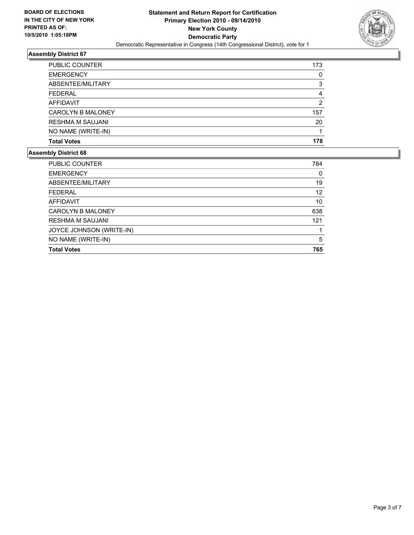

| PUBLIC COUNTER           | 173 |
|--------------------------|-----|
| <b>EMERGENCY</b>         | 0   |
| ABSENTEE/MILITARY        | 3   |
| <b>FEDERAL</b>           | 4   |
| AFFIDAVIT                | 2   |
| <b>CAROLYN B MALONEY</b> | 157 |
| <b>RESHMA M SAUJANI</b>  | 20  |
| NO NAME (WRITE-IN)       |     |
| <b>Total Votes</b>       | 178 |

| PUBLIC COUNTER           | 784 |
|--------------------------|-----|
| <b>EMERGENCY</b>         | 0   |
| ABSENTEE/MILITARY        | 19  |
| <b>FEDERAL</b>           | 12  |
| AFFIDAVIT                | 10  |
| <b>CAROLYN B MALONEY</b> | 638 |
| <b>RESHMA M SAUJANI</b>  | 121 |
| JOYCE JOHNSON (WRITE-IN) |     |
| NO NAME (WRITE-IN)       | 5   |
| <b>Total Votes</b>       | 765 |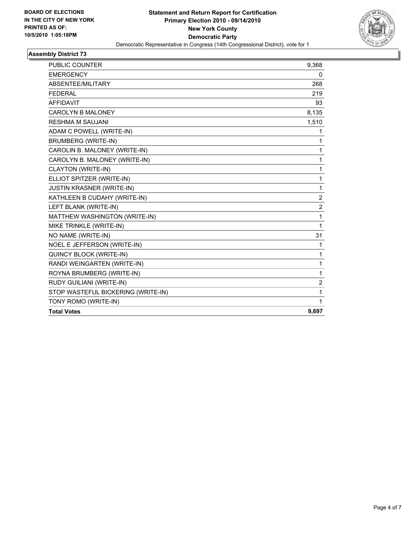

| <b>EMERGENCY</b>                   | 0              |
|------------------------------------|----------------|
| ABSENTEE/MILITARY                  | 268            |
| <b>FEDERAL</b>                     | 219            |
| <b>AFFIDAVIT</b>                   | 93             |
| <b>CAROLYN B MALONEY</b>           | 8,135          |
| <b>RESHMA M SAUJANI</b>            | 1,510          |
| ADAM C POWELL (WRITE-IN)           | 1              |
| <b>BRUMBERG (WRITE-IN)</b>         | 1              |
| CAROLIN B. MALONEY (WRITE-IN)      | 1              |
| CAROLYN B. MALONEY (WRITE-IN)      | 1              |
| CLAYTON (WRITE-IN)                 | 1              |
| ELLIOT SPITZER (WRITE-IN)          | 1              |
| <b>JUSTIN KRASNER (WRITE-IN)</b>   | 1              |
| KATHLEEN B CUDAHY (WRITE-IN)       | $\overline{2}$ |
| LEFT BLANK (WRITE-IN)              | 2              |
| MATTHEW WASHINGTON (WRITE-IN)      | 1              |
| MIKE TRINKLE (WRITE-IN)            | 1              |
| NO NAME (WRITE-IN)                 | 31             |
| NOEL E JEFFERSON (WRITE-IN)        | 1              |
| QUINCY BLOCK (WRITE-IN)            | 1              |
| RANDI WEINGARTEN (WRITE-IN)        | 1              |
| ROYNA BRUMBERG (WRITE-IN)          | 1              |
| RUDY GUILIANI (WRITE-IN)           | 2              |
| STOP WASTEFUL BICKERING (WRITE-IN) | 1              |
| TONY ROMO (WRITE-IN)               | 1              |
| <b>Total Votes</b>                 | 9,697          |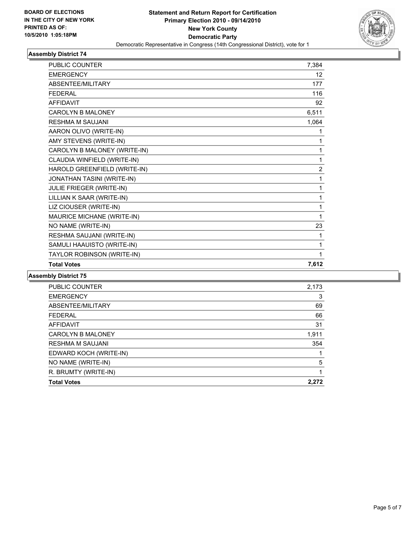

| <b>PUBLIC COUNTER</b>        | 7,384             |
|------------------------------|-------------------|
| <b>EMERGENCY</b>             | $12 \overline{ }$ |
| <b>ABSENTEE/MILITARY</b>     | 177               |
| <b>FEDERAL</b>               | 116               |
| <b>AFFIDAVIT</b>             | 92                |
| <b>CAROLYN B MALONEY</b>     | 6,511             |
| <b>RESHMA M SAUJANI</b>      | 1,064             |
| AARON OLIVO (WRITE-IN)       | 1                 |
| AMY STEVENS (WRITE-IN)       | 1                 |
| CAROLYN B MALONEY (WRITE-IN) | 1                 |
| CLAUDIA WINFIELD (WRITE-IN)  | 1                 |
| HAROLD GREENFIELD (WRITE-IN) | $\overline{2}$    |
| JONATHAN TASINI (WRITE-IN)   | 1                 |
| JULIE FRIEGER (WRITE-IN)     | 1                 |
| LILLIAN K SAAR (WRITE-IN)    | 1                 |
| LIZ CIOUSER (WRITE-IN)       | 1                 |
| MAURICE MICHANE (WRITE-IN)   | 1                 |
| NO NAME (WRITE-IN)           | 23                |
| RESHMA SAUJANI (WRITE-IN)    | 1                 |
| SAMULI HAAUISTO (WRITE-IN)   | 1                 |
| TAYLOR ROBINSON (WRITE-IN)   | 1                 |
| <b>Total Votes</b>           | 7,612             |

| <b>Total Votes</b>       | 2.272 |
|--------------------------|-------|
| R. BRUMTY (WRITE-IN)     |       |
| NO NAME (WRITE-IN)       | 5     |
| EDWARD KOCH (WRITE-IN)   |       |
| <b>RESHMA M SAUJANI</b>  | 354   |
| <b>CAROLYN B MALONEY</b> | 1,911 |
| <b>AFFIDAVIT</b>         | 31    |
| <b>FEDERAL</b>           | 66    |
| ABSENTEE/MILITARY        | 69    |
| <b>EMERGENCY</b>         | 3     |
| <b>PUBLIC COUNTER</b>    | 2,173 |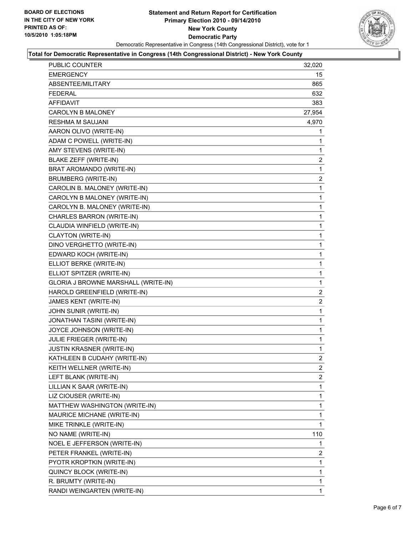

### **Total for Democratic Representative in Congress (14th Congressional District) - New York County**

| PUBLIC COUNTER                      | 32,020         |
|-------------------------------------|----------------|
| EMERGENCY                           | 15             |
| ABSENTEE/MILITARY                   | 865            |
| FEDERAL                             | 632            |
| AFFIDAVIT                           | 383            |
| <b>CAROLYN B MALONEY</b>            | 27,954         |
| RESHMA M SAUJANI                    | 4,970          |
| AARON OLIVO (WRITE-IN)              | 1              |
| ADAM C POWELL (WRITE-IN)            | 1              |
| AMY STEVENS (WRITE-IN)              | 1              |
| BLAKE ZEFF (WRITE-IN)               | 2              |
| BRAT AROMANDO (WRITE-IN)            | 1              |
| <b>BRUMBERG (WRITE-IN)</b>          | 2              |
| CAROLIN B. MALONEY (WRITE-IN)       | 1              |
| CAROLYN B MALONEY (WRITE-IN)        | 1              |
| CAROLYN B. MALONEY (WRITE-IN)       | $\mathbf 1$    |
| CHARLES BARRON (WRITE-IN)           | 1              |
| CLAUDIA WINFIELD (WRITE-IN)         | 1              |
| CLAYTON (WRITE-IN)                  | 1              |
| DINO VERGHETTO (WRITE-IN)           | 1              |
| EDWARD KOCH (WRITE-IN)              | 1              |
| ELLIOT BERKE (WRITE-IN)             | $\mathbf{1}$   |
| ELLIOT SPITZER (WRITE-IN)           | 1              |
| GLORIA J BROWNE MARSHALL (WRITE-IN) | 1              |
| HAROLD GREENFIELD (WRITE-IN)        | 2              |
| JAMES KENT (WRITE-IN)               | 2              |
| JOHN SUNIR (WRITE-IN)               | 1              |
| JONATHAN TASINI (WRITE-IN)          | $\mathbf{1}$   |
| JOYCE JOHNSON (WRITE-IN)            | 1              |
| JULIE FRIEGER (WRITE-IN)            | 1              |
| <b>JUSTIN KRASNER (WRITE-IN)</b>    | 1              |
| KATHLEEN B CUDAHY (WRITE-IN)        | $\overline{2}$ |
| KEITH WELLNER (WRITE-IN)            | 2              |
| LEFT BLANK (WRITE-IN)               | 2              |
| LILLIAN K SAAR (WRITE-IN)           | 1              |
| LIZ CIOUSER (WRITE-IN)              | 1              |
| MATTHEW WASHINGTON (WRITE-IN)       | 1              |
| MAURICE MICHANE (WRITE-IN)          | 1              |
| MIKE TRINKLE (WRITE-IN)             | 1              |
| NO NAME (WRITE-IN)                  | 110            |
| NOEL E JEFFERSON (WRITE-IN)         | 1              |
| PETER FRANKEL (WRITE-IN)            | 2              |
| PYOTR KROPTKIN (WRITE-IN)           | 1              |
| QUINCY BLOCK (WRITE-IN)             | 1              |
| R. BRUMTY (WRITE-IN)                | 1              |
| RANDI WEINGARTEN (WRITE-IN)         | $\mathbf{1}$   |
|                                     |                |